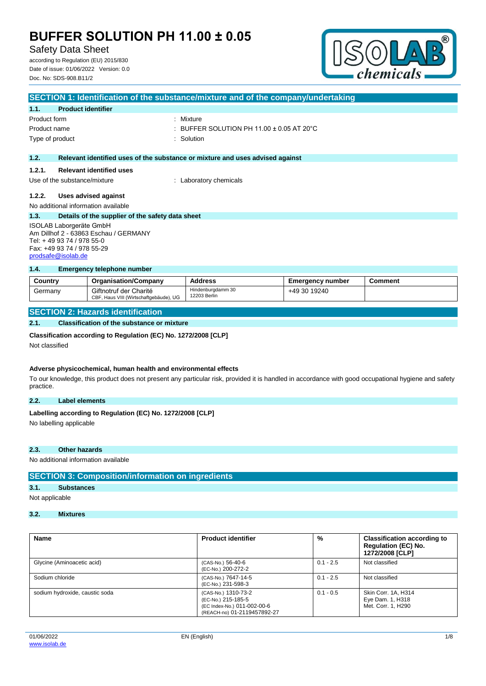Safety Data Sheet

according to Regulation (EU) 2015/830 Date of issue: 01/06/2022 Version: 0.0 Doc. No: SDS-908.B11/2



|                                                                                                | SECTION 1: Identification of the substance/mixture and of the company/undertaking |                                                                               |  |  |  |
|------------------------------------------------------------------------------------------------|-----------------------------------------------------------------------------------|-------------------------------------------------------------------------------|--|--|--|
| 1.1.                                                                                           | <b>Product identifier</b>                                                         |                                                                               |  |  |  |
| Product form                                                                                   |                                                                                   | : Mixture                                                                     |  |  |  |
| Product name                                                                                   |                                                                                   | : BUFFER SOLUTION PH 11.00 $\pm$ 0.05 AT 20 $^{\circ}$ C                      |  |  |  |
| Type of product                                                                                |                                                                                   | : Solution                                                                    |  |  |  |
|                                                                                                |                                                                                   |                                                                               |  |  |  |
| 1.2.                                                                                           |                                                                                   | Relevant identified uses of the substance or mixture and uses advised against |  |  |  |
| 1.2.1.                                                                                         | <b>Relevant identified uses</b>                                                   |                                                                               |  |  |  |
| Use of the substance/mixture                                                                   |                                                                                   | : Laboratory chemicals                                                        |  |  |  |
| 1.2.2.<br>Uses advised against                                                                 |                                                                                   |                                                                               |  |  |  |
|                                                                                                | No additional information available                                               |                                                                               |  |  |  |
| 1.3.                                                                                           | Details of the supplier of the safety data sheet                                  |                                                                               |  |  |  |
| ISOLAB Laborgeräte GmbH<br>Am Dillhof 2 - 63863 Eschau / GERMANY<br>Tel: + 49 93 74 / 978 55-0 |                                                                                   |                                                                               |  |  |  |

Fax: +49 93 74 / 978 55-29 [prodsafe@isolab.de](mailto:prodsafe@isolab.de)

#### **1.4. Emergency telephone number**

| Country | <b>Organisation/Company</b>                                      | <b>Address</b>                    | Emergency number | Comment |
|---------|------------------------------------------------------------------|-----------------------------------|------------------|---------|
| Germany | Giftnotruf der Charité<br>CBF, Haus VIII (Wirtschaftgebäude), UG | Hindenburgdamm 30<br>12203 Berlin | +49 30 19240     |         |

#### **SECTION 2: Hazards identification**

#### **2.1. Classification of the substance or mixture**

#### **Classification according to Regulation (EC) No. 1272/2008 [CLP]**

Not classified

#### **Adverse physicochemical, human health and environmental effects**

To our knowledge, this product does not present any particular risk, provided it is handled in accordance with good occupational hygiene and safety practice.

#### **2.2. Label elements**

# Labelling according to Regulation (EC) No. 1272/2008 [CLP]

No labelling applicable

#### **2.3. Other hazards**

No additional information available

#### **SECTION 3: Composition/information on ingredients**

### **3.1. Substances**

Not applicable

### **3.2. Mixtures**

| <b>Name</b>                    | <b>Product identifier</b>                                                                               | %           | <b>Classification according to</b><br><b>Regulation (EC) No.</b><br>1272/2008 [CLP] |
|--------------------------------|---------------------------------------------------------------------------------------------------------|-------------|-------------------------------------------------------------------------------------|
| Glycine (Aminoacetic acid)     | (CAS-No.) 56-40-6<br>(EC-No.) 200-272-2                                                                 | $0.1 - 2.5$ | Not classified                                                                      |
| Sodium chloride                | (CAS-No.) 7647-14-5<br>(EC-No.) 231-598-3                                                               | $0.1 - 2.5$ | Not classified                                                                      |
| sodium hydroxide, caustic soda | (CAS-No.) 1310-73-2<br>(EC-No.) 215-185-5<br>(EC Index-No.) 011-002-00-6<br>(REACH-no) 01-2119457892-27 | $0.1 - 0.5$ | Skin Corr. 1A, H314<br>Eye Dam. 1, H318<br>Met. Corr. 1, H290                       |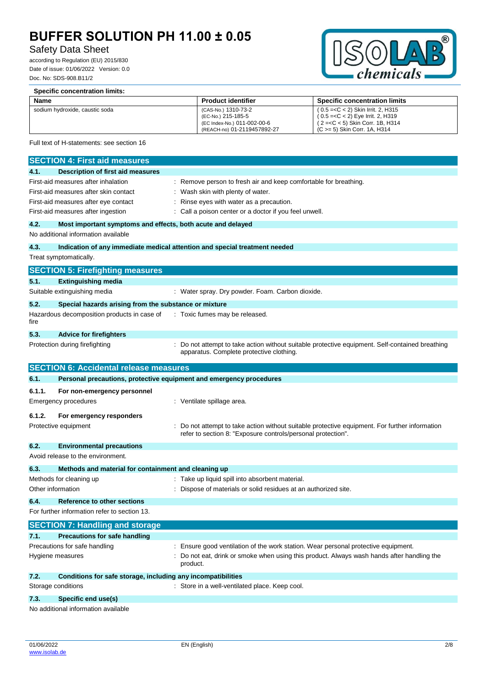### Safety Data Sheet

according to Regulation (EU) 2015/830 Date of issue: 01/06/2022 Version: 0.0 Doc. No: SDS-908.B11/2

**Specific concentration limits:**



| Name   |                                                                            | <b>Product identifier</b>                                                                               | <b>Specific concentration limits</b>                                                                                            |  |
|--------|----------------------------------------------------------------------------|---------------------------------------------------------------------------------------------------------|---------------------------------------------------------------------------------------------------------------------------------|--|
|        | sodium hydroxide, caustic soda                                             | (CAS-No.) 1310-73-2<br>(EC-No.) 215-185-5<br>(EC Index-No.) 011-002-00-6<br>(REACH-no) 01-2119457892-27 | (0.5 = < C < 2) Skin Irrit. 2, H315<br>(2= <c 1b,="" 5)="" <="" corr.="" h314<br="" skin="">(C &gt;= 5) Skin Corr. 1A, H314</c> |  |
|        | Full text of H-statements: see section 16                                  |                                                                                                         |                                                                                                                                 |  |
|        | <b>SECTION 4: First aid measures</b>                                       |                                                                                                         |                                                                                                                                 |  |
| 4.1.   | <b>Description of first aid measures</b>                                   |                                                                                                         |                                                                                                                                 |  |
|        | First-aid measures after inhalation                                        | : Remove person to fresh air and keep comfortable for breathing.                                        |                                                                                                                                 |  |
|        | First-aid measures after skin contact                                      | Wash skin with plenty of water.                                                                         |                                                                                                                                 |  |
|        | First-aid measures after eye contact                                       | Rinse eyes with water as a precaution.                                                                  |                                                                                                                                 |  |
|        | First-aid measures after ingestion                                         | Call a poison center or a doctor if you feel unwell.                                                    |                                                                                                                                 |  |
| 4.2.   | Most important symptoms and effects, both acute and delayed                |                                                                                                         |                                                                                                                                 |  |
|        | No additional information available                                        |                                                                                                         |                                                                                                                                 |  |
| 4.3.   | Indication of any immediate medical attention and special treatment needed |                                                                                                         |                                                                                                                                 |  |
|        | Treat symptomatically.                                                     |                                                                                                         |                                                                                                                                 |  |
|        | <b>SECTION 5: Firefighting measures</b>                                    |                                                                                                         |                                                                                                                                 |  |
| 5.1.   | <b>Extinguishing media</b>                                                 |                                                                                                         |                                                                                                                                 |  |
|        | Suitable extinguishing media                                               | : Water spray. Dry powder. Foam. Carbon dioxide.                                                        |                                                                                                                                 |  |
| 5.2.   | Special hazards arising from the substance or mixture                      |                                                                                                         |                                                                                                                                 |  |
| fire   | Hazardous decomposition products in case of                                | : Toxic fumes may be released.                                                                          |                                                                                                                                 |  |
| 5.3.   | <b>Advice for firefighters</b>                                             |                                                                                                         |                                                                                                                                 |  |
|        | Protection during firefighting                                             | apparatus. Complete protective clothing.                                                                | : Do not attempt to take action without suitable protective equipment. Self-contained breathing                                 |  |
|        | <b>SECTION 6: Accidental release measures</b>                              |                                                                                                         |                                                                                                                                 |  |
| 6.1.   | Personal precautions, protective equipment and emergency procedures        |                                                                                                         |                                                                                                                                 |  |
| 6.1.1. | For non-emergency personnel                                                |                                                                                                         |                                                                                                                                 |  |
|        | Emergency procedures                                                       | : Ventilate spillage area.                                                                              |                                                                                                                                 |  |
| 6.1.2. | For emergency responders                                                   |                                                                                                         |                                                                                                                                 |  |
|        | Protective equipment                                                       | refer to section 8: "Exposure controls/personal protection".                                            | Do not attempt to take action without suitable protective equipment. For further information                                    |  |
| 6.2.   | <b>Environmental precautions</b>                                           |                                                                                                         |                                                                                                                                 |  |
|        | Avoid release to the environment.                                          |                                                                                                         |                                                                                                                                 |  |
| 6.3.   | Methods and material for containment and cleaning up                       |                                                                                                         |                                                                                                                                 |  |
|        | Methods for cleaning up                                                    | : Take up liquid spill into absorbent material.                                                         |                                                                                                                                 |  |
|        | Other information                                                          | Dispose of materials or solid residues at an authorized site.                                           |                                                                                                                                 |  |
| 6.4.   | <b>Reference to other sections</b>                                         |                                                                                                         |                                                                                                                                 |  |
|        | For further information refer to section 13.                               |                                                                                                         |                                                                                                                                 |  |
|        | <b>SECTION 7: Handling and storage</b>                                     |                                                                                                         |                                                                                                                                 |  |
| 7.1.   | <b>Precautions for safe handling</b>                                       |                                                                                                         |                                                                                                                                 |  |
|        | Precautions for safe handling                                              | Ensure good ventilation of the work station. Wear personal protective equipment.                        |                                                                                                                                 |  |
|        | Hygiene measures<br>product.                                               |                                                                                                         | Do not eat, drink or smoke when using this product. Always wash hands after handling the                                        |  |
| 7.2.   | Conditions for safe storage, including any incompatibilities               |                                                                                                         |                                                                                                                                 |  |
|        | Storage conditions                                                         | : Store in a well-ventilated place. Keep cool.                                                          |                                                                                                                                 |  |
| 7.3.   | Specific end use(s)                                                        |                                                                                                         |                                                                                                                                 |  |
|        |                                                                            |                                                                                                         |                                                                                                                                 |  |

No additional information available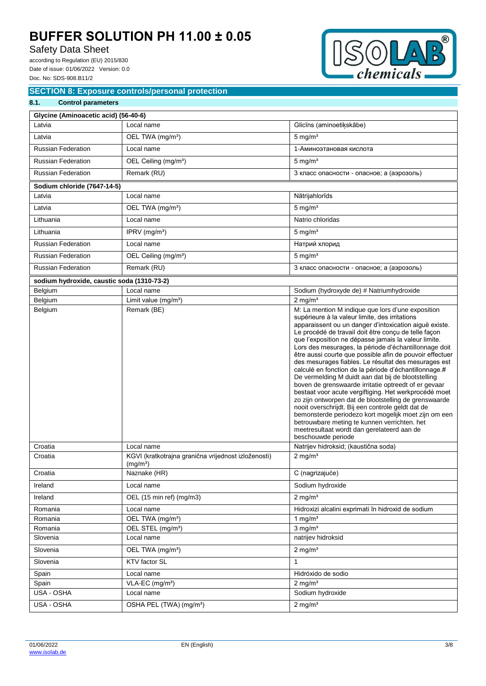## Safety Data Sheet

according to Regulation (EU) 2015/830 Date of issue: 01/06/2022 Version: 0.0 Doc. No: SDS-908.B11/2



### **SECTION 8: Exposure controls/personal protection**

| 8.1.               | <b>Control parameters</b>                  |                                                                   |                                                                                                                                                                                                                                                                                                                                                                                                                                                                                                                                                                                                                                                                                                                                                                                                                                                                                                                                                                                      |  |  |  |
|--------------------|--------------------------------------------|-------------------------------------------------------------------|--------------------------------------------------------------------------------------------------------------------------------------------------------------------------------------------------------------------------------------------------------------------------------------------------------------------------------------------------------------------------------------------------------------------------------------------------------------------------------------------------------------------------------------------------------------------------------------------------------------------------------------------------------------------------------------------------------------------------------------------------------------------------------------------------------------------------------------------------------------------------------------------------------------------------------------------------------------------------------------|--|--|--|
|                    | Glycine (Aminoacetic acid) (56-40-6)       |                                                                   |                                                                                                                                                                                                                                                                                                                                                                                                                                                                                                                                                                                                                                                                                                                                                                                                                                                                                                                                                                                      |  |  |  |
| Latvia             |                                            | Local name                                                        | Glicīns (aminoetiķskābe)                                                                                                                                                                                                                                                                                                                                                                                                                                                                                                                                                                                                                                                                                                                                                                                                                                                                                                                                                             |  |  |  |
| Latvia             |                                            | OEL TWA (mg/m <sup>3</sup> )                                      | $5 \text{ mg/m}^3$                                                                                                                                                                                                                                                                                                                                                                                                                                                                                                                                                                                                                                                                                                                                                                                                                                                                                                                                                                   |  |  |  |
|                    | <b>Russian Federation</b>                  | Local name                                                        | 1-Аминоэтановая кислота                                                                                                                                                                                                                                                                                                                                                                                                                                                                                                                                                                                                                                                                                                                                                                                                                                                                                                                                                              |  |  |  |
|                    | <b>Russian Federation</b>                  | OEL Ceiling (mg/m <sup>3</sup> )                                  | $5 \text{ mg/m}^3$                                                                                                                                                                                                                                                                                                                                                                                                                                                                                                                                                                                                                                                                                                                                                                                                                                                                                                                                                                   |  |  |  |
|                    | <b>Russian Federation</b>                  | Remark (RU)                                                       | 3 класс опасности - опасное; а (аэрозоль)                                                                                                                                                                                                                                                                                                                                                                                                                                                                                                                                                                                                                                                                                                                                                                                                                                                                                                                                            |  |  |  |
|                    | Sodium chloride (7647-14-5)                |                                                                   |                                                                                                                                                                                                                                                                                                                                                                                                                                                                                                                                                                                                                                                                                                                                                                                                                                                                                                                                                                                      |  |  |  |
| Latvia             |                                            | Local name                                                        | Nātrijahlorīds                                                                                                                                                                                                                                                                                                                                                                                                                                                                                                                                                                                                                                                                                                                                                                                                                                                                                                                                                                       |  |  |  |
| Latvia             |                                            | OEL TWA (mg/m <sup>3</sup> )                                      | $5 \text{ mg/m}^3$                                                                                                                                                                                                                                                                                                                                                                                                                                                                                                                                                                                                                                                                                                                                                                                                                                                                                                                                                                   |  |  |  |
| Lithuania          |                                            | Local name                                                        | Natrio chloridas                                                                                                                                                                                                                                                                                                                                                                                                                                                                                                                                                                                                                                                                                                                                                                                                                                                                                                                                                                     |  |  |  |
| Lithuania          |                                            | IPRV $(mg/m3)$                                                    | $5 \text{ mg/m}^3$                                                                                                                                                                                                                                                                                                                                                                                                                                                                                                                                                                                                                                                                                                                                                                                                                                                                                                                                                                   |  |  |  |
|                    | <b>Russian Federation</b>                  | Local name                                                        | Натрий хлорид                                                                                                                                                                                                                                                                                                                                                                                                                                                                                                                                                                                                                                                                                                                                                                                                                                                                                                                                                                        |  |  |  |
|                    | <b>Russian Federation</b>                  | OEL Ceiling (mg/m <sup>3</sup> )                                  | $5 \text{ mg/m}^3$                                                                                                                                                                                                                                                                                                                                                                                                                                                                                                                                                                                                                                                                                                                                                                                                                                                                                                                                                                   |  |  |  |
|                    | <b>Russian Federation</b>                  | Remark (RU)                                                       | 3 класс опасности - опасное; а (аэрозоль)                                                                                                                                                                                                                                                                                                                                                                                                                                                                                                                                                                                                                                                                                                                                                                                                                                                                                                                                            |  |  |  |
|                    | sodium hydroxide, caustic soda (1310-73-2) |                                                                   |                                                                                                                                                                                                                                                                                                                                                                                                                                                                                                                                                                                                                                                                                                                                                                                                                                                                                                                                                                                      |  |  |  |
| Belgium            |                                            | Local name                                                        | Sodium (hydroxyde de) # Natriumhydroxide                                                                                                                                                                                                                                                                                                                                                                                                                                                                                                                                                                                                                                                                                                                                                                                                                                                                                                                                             |  |  |  |
| Belgium            |                                            | Limit value $(mg/m3)$                                             | $2$ mg/m <sup>3</sup>                                                                                                                                                                                                                                                                                                                                                                                                                                                                                                                                                                                                                                                                                                                                                                                                                                                                                                                                                                |  |  |  |
| Belgium            |                                            | Remark (BE)                                                       | M: La mention M indique que lors d'une exposition<br>supérieure à la valeur limite, des irritations<br>apparaissent ou un danger d'intoxication aiguë existe.<br>Le procédé de travail doit être conçu de telle façon<br>que l'exposition ne dépasse jamais la valeur limite.<br>Lors des mesurages, la période d'échantillonnage doit<br>être aussi courte que possible afin de pouvoir effectuer<br>des mesurages fiables. Le résultat des mesurages est<br>calculé en fonction de la période d'échantillonnage.#<br>De vermelding M duidt aan dat bij de blootstelling<br>boven de grenswaarde irritatie optreedt of er gevaar<br>bestaat voor acute vergiftiging. Het werkprocédé moet<br>zo zijn ontworpen dat de blootstelling de grenswaarde<br>nooit overschrijdt. Bij een controle geldt dat de<br>bemonsterde periodezo kort mogelijk moet zijn om een<br>betrouwbare meting te kunnen verrichten. het<br>meetresultaat wordt dan gerelateerd aan de<br>beschouwde periode |  |  |  |
| Croatia<br>Croatia |                                            | Local name<br>KGVI (kratkotrajna granična vrijednost izloženosti) | Natrijev hidroksid; (kaustična soda)<br>2 mg/m <sup>3</sup>                                                                                                                                                                                                                                                                                                                                                                                                                                                                                                                                                                                                                                                                                                                                                                                                                                                                                                                          |  |  |  |
|                    |                                            | (mg/m <sup>3</sup> )                                              |                                                                                                                                                                                                                                                                                                                                                                                                                                                                                                                                                                                                                                                                                                                                                                                                                                                                                                                                                                                      |  |  |  |
| Croatia            |                                            | Naznake (HR)                                                      | C (nagrizajuće)                                                                                                                                                                                                                                                                                                                                                                                                                                                                                                                                                                                                                                                                                                                                                                                                                                                                                                                                                                      |  |  |  |
| Ireland            |                                            | Local name                                                        | Sodium hydroxide                                                                                                                                                                                                                                                                                                                                                                                                                                                                                                                                                                                                                                                                                                                                                                                                                                                                                                                                                                     |  |  |  |
| Ireland            |                                            | OEL (15 min ref) (mg/m3)                                          | $2$ mg/m <sup>3</sup>                                                                                                                                                                                                                                                                                                                                                                                                                                                                                                                                                                                                                                                                                                                                                                                                                                                                                                                                                                |  |  |  |
| Romania            |                                            | Local name                                                        | Hidroxizi alcalini exprimati în hidroxid de sodium                                                                                                                                                                                                                                                                                                                                                                                                                                                                                                                                                                                                                                                                                                                                                                                                                                                                                                                                   |  |  |  |
| Romania            |                                            | OEL TWA (mg/m <sup>3</sup> )                                      | 1 mg/ $m3$                                                                                                                                                                                                                                                                                                                                                                                                                                                                                                                                                                                                                                                                                                                                                                                                                                                                                                                                                                           |  |  |  |
| Romania            |                                            | OEL STEL (mg/m <sup>3</sup> )                                     | $3$ mg/m <sup>3</sup>                                                                                                                                                                                                                                                                                                                                                                                                                                                                                                                                                                                                                                                                                                                                                                                                                                                                                                                                                                |  |  |  |
| Slovenia           |                                            | Local name                                                        | natrijev hidroksid                                                                                                                                                                                                                                                                                                                                                                                                                                                                                                                                                                                                                                                                                                                                                                                                                                                                                                                                                                   |  |  |  |
| Slovenia           |                                            | OEL TWA (mg/m <sup>3</sup> )                                      | $2$ mg/m <sup>3</sup>                                                                                                                                                                                                                                                                                                                                                                                                                                                                                                                                                                                                                                                                                                                                                                                                                                                                                                                                                                |  |  |  |
| Slovenia           |                                            | KTV factor SL                                                     | $\mathbf{1}$                                                                                                                                                                                                                                                                                                                                                                                                                                                                                                                                                                                                                                                                                                                                                                                                                                                                                                                                                                         |  |  |  |
| Spain              |                                            | Local name                                                        | Hidróxido de sodio                                                                                                                                                                                                                                                                                                                                                                                                                                                                                                                                                                                                                                                                                                                                                                                                                                                                                                                                                                   |  |  |  |
| Spain              |                                            | VLA-EC (mg/m <sup>3</sup> )                                       | $2$ mg/m <sup>3</sup>                                                                                                                                                                                                                                                                                                                                                                                                                                                                                                                                                                                                                                                                                                                                                                                                                                                                                                                                                                |  |  |  |
| USA - OSHA         |                                            | Local name                                                        | Sodium hydroxide                                                                                                                                                                                                                                                                                                                                                                                                                                                                                                                                                                                                                                                                                                                                                                                                                                                                                                                                                                     |  |  |  |
| USA - OSHA         |                                            | OSHA PEL (TWA) (mg/m <sup>3</sup> )                               | $2$ mg/m <sup>3</sup>                                                                                                                                                                                                                                                                                                                                                                                                                                                                                                                                                                                                                                                                                                                                                                                                                                                                                                                                                                |  |  |  |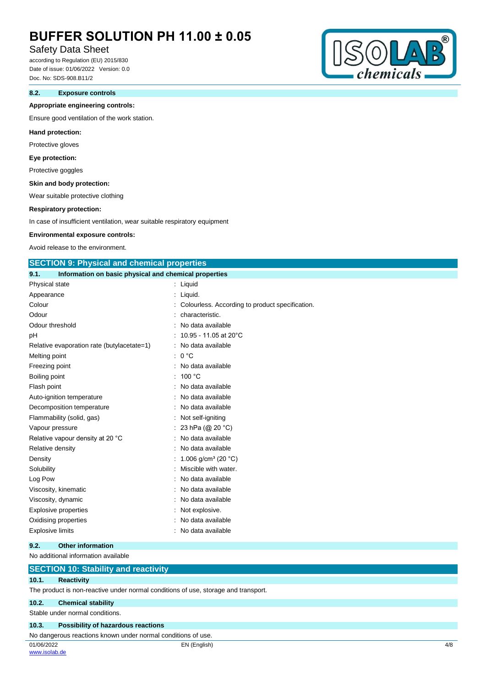### Safety Data Sheet

according to Regulation (EU) 2015/830 Date of issue: 01/06/2022 Version: 0.0 Doc. No: SDS-908.B11/2

#### **8.2. Exposure controls**

#### **Appropriate engineering controls:**

Ensure good ventilation of the work station.

#### **Hand protection:**

Protective gloves

#### **Eye protection:**

Protective goggles

#### **Skin and body protection:**

Wear suitable protective clothing

#### **Respiratory protection:**

In case of insufficient ventilation, wear suitable respiratory equipment

#### **Environmental exposure controls:**

Avoid release to the environment.

#### **SECTION 9: Physical and chemical properties**

|    | Information on basic physical and chemical properties<br>9.1. |                                                   |
|----|---------------------------------------------------------------|---------------------------------------------------|
|    | Physical state                                                | Liquid                                            |
|    | Appearance                                                    | Liquid.                                           |
|    | Colour                                                        | : Colourless. According to product specification. |
|    | Odour                                                         | characteristic.                                   |
|    | Odour threshold                                               | No data available                                 |
| рH |                                                               | 10.95 - 11.05 at 20°C                             |
|    | Relative evaporation rate (butylacetate=1)                    | No data available                                 |
|    | Melting point                                                 | 0 °C<br>÷.                                        |
|    | Freezing point                                                | No data available                                 |
|    | Boiling point                                                 | 100 °C                                            |
|    | Flash point                                                   | No data available                                 |
|    | Auto-ignition temperature                                     | No data available                                 |
|    | Decomposition temperature                                     | No data available                                 |
|    | Flammability (solid, gas)                                     | Not self-igniting                                 |
|    | Vapour pressure                                               | 23 hPa (@ 20 °C)                                  |
|    | Relative vapour density at 20 °C                              | No data available                                 |
|    | Relative density                                              | No data available                                 |
|    | Density                                                       | 1.006 g/cm <sup>3</sup> (20 °C)                   |
|    | Solubility                                                    | Miscible with water.                              |
|    | Log Pow                                                       | No data available                                 |
|    | Viscosity, kinematic                                          | No data available                                 |
|    | Viscosity, dynamic                                            | No data available                                 |
|    | <b>Explosive properties</b>                                   | Not explosive.                                    |
|    | Oxidising properties                                          | No data available                                 |
|    | <b>Explosive limits</b>                                       | No data available                                 |
|    |                                                               |                                                   |

#### **9.2. Other information**

#### No additional information available

#### **SECTION 10: Stability and reactivity**

#### **10.1. Reactivity**

The product is non-reactive under normal conditions of use, storage and transport.

#### **10.2. Chemical stability**

Stable under normal conditions.

#### **10.3. Possibility of hazardous reactions**

No dangerous reactions known under normal conditions of use.

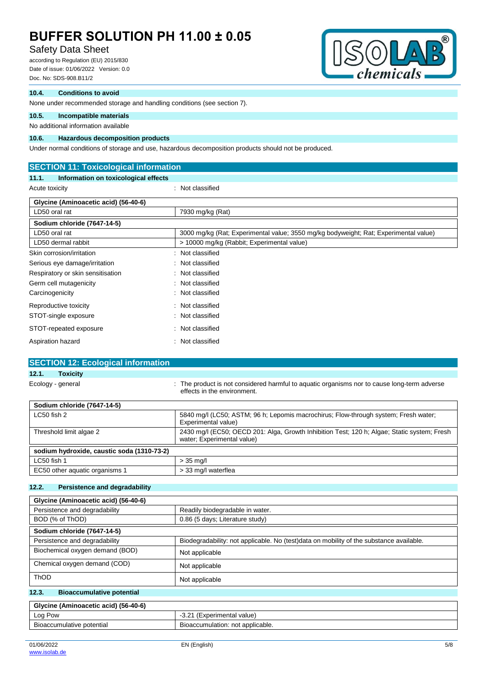### Safety Data Sheet

according to Regulation (EU) 2015/830 Date of issue: 01/06/2022 Version: 0.0 Doc. No: SDS-908.B11/2



#### **10.4. Conditions to avoid**

None under recommended storage and handling conditions (see section 7).

#### **10.5. Incompatible materials**

#### No additional information available

#### **10.6. Hazardous decomposition products**

Under normal conditions of storage and use, hazardous decomposition products should not be produced.

| <b>SECTION 11: Toxicological information</b>  |                                                                                      |  |  |  |  |
|-----------------------------------------------|--------------------------------------------------------------------------------------|--|--|--|--|
| Information on toxicological effects<br>11.1. |                                                                                      |  |  |  |  |
| Acute toxicity                                | : Not classified                                                                     |  |  |  |  |
| Glycine (Aminoacetic acid) (56-40-6)          |                                                                                      |  |  |  |  |
| LD50 oral rat                                 | 7930 mg/kg (Rat)                                                                     |  |  |  |  |
| Sodium chloride (7647-14-5)                   |                                                                                      |  |  |  |  |
| LD50 oral rat                                 | 3000 mg/kg (Rat; Experimental value; 3550 mg/kg bodyweight; Rat; Experimental value) |  |  |  |  |
| LD50 dermal rabbit                            | > 10000 mg/kg (Rabbit; Experimental value)                                           |  |  |  |  |
| Skin corrosion/irritation                     | Not classified                                                                       |  |  |  |  |
| Serious eye damage/irritation                 | Not classified                                                                       |  |  |  |  |
| Respiratory or skin sensitisation             | Not classified                                                                       |  |  |  |  |
| Germ cell mutagenicity                        | Not classified                                                                       |  |  |  |  |
| Carcinogenicity                               | Not classified                                                                       |  |  |  |  |
| Reproductive toxicity                         | Not classified<br>÷                                                                  |  |  |  |  |
| STOT-single exposure                          | Not classified                                                                       |  |  |  |  |
| STOT-repeated exposure                        | Not classified<br>٠                                                                  |  |  |  |  |
| Aspiration hazard                             | Not classified                                                                       |  |  |  |  |

#### **SECTION 12: Ecological information**

#### **12.1. Toxicity**

Ecology - general state of the product is not considered harmful to aquatic organisms nor to cause long-term adverse effects in the environment.

| Sodium chloride (7647-14-5)                |                                                                                                                           |  |  |  |
|--------------------------------------------|---------------------------------------------------------------------------------------------------------------------------|--|--|--|
| $LC50$ fish 2                              | 5840 mg/l (LC50; ASTM; 96 h; Lepomis macrochirus; Flow-through system; Fresh water;<br>Experimental value)                |  |  |  |
| Threshold limit algae 2                    | 2430 mg/l (EC50; OECD 201: Alga, Growth Inhibition Test; 120 h; Algae; Static system; Fresh<br>water; Experimental value) |  |  |  |
| sodium hydroxide, caustic soda (1310-73-2) |                                                                                                                           |  |  |  |
| LC50 fish 1                                | $>$ 35 ma/l                                                                                                               |  |  |  |
| EC50 other aquatic organisms 1             | > 33 mg/l waterflea                                                                                                       |  |  |  |

#### **12.2. Persistence and degradability**

| Glycine (Aminoacetic acid) (56-40-6)                                          |                                                                                         |  |  |
|-------------------------------------------------------------------------------|-----------------------------------------------------------------------------------------|--|--|
| Persistence and degradability                                                 | Readily biodegradable in water.                                                         |  |  |
| BOD (% of ThOD)                                                               | 0.86 (5 days; Literature study)                                                         |  |  |
| Sodium chloride (7647-14-5)                                                   |                                                                                         |  |  |
| Persistence and degradability                                                 | Biodegradability: not applicable. No (test)data on mobility of the substance available. |  |  |
| Biochemical oxygen demand (BOD)                                               | Not applicable                                                                          |  |  |
| Chemical oxygen demand (COD)                                                  | Not applicable                                                                          |  |  |
| <b>ThOD</b>                                                                   | Not applicable                                                                          |  |  |
| $\overline{A}$ $\overline{A}$<br>The component of the components of the first |                                                                                         |  |  |

#### **12.3. Bioaccumulative potential**

| Glycine (Aminoacetic acid) (56-40-6)  |                                  |  |
|---------------------------------------|----------------------------------|--|
| Log Pow<br>-3.21 (Experimental value) |                                  |  |
| Bioaccumulative potential             | Bioaccumulation: not applicable. |  |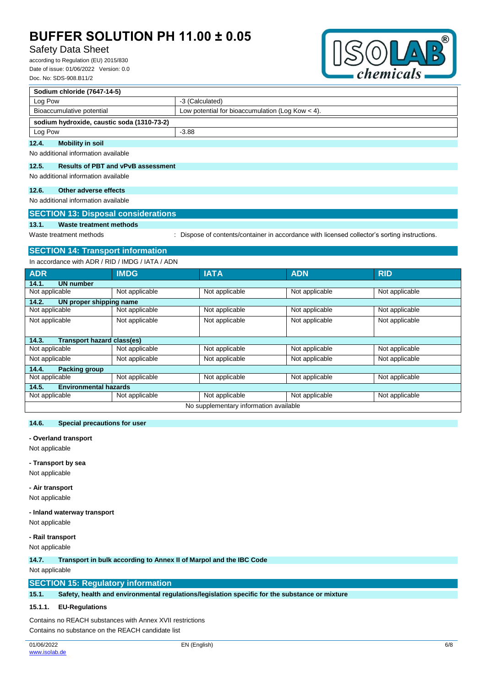### Safety Data Sheet

according to Regulation (EU) 2015/830 Date of issue: 01/06/2022 Version: 0.0 Doc. No: SDS-908.B11/2



| Sodium chloride (7647-14-5)                        |                                                    |  |  |
|----------------------------------------------------|----------------------------------------------------|--|--|
| Log Pow                                            | -3 (Calculated)                                    |  |  |
| Bioaccumulative potential                          | Low potential for bioaccumulation (Log Kow $<$ 4). |  |  |
| sodium hydroxide, caustic soda (1310-73-2)         |                                                    |  |  |
| Log Pow                                            | $-3.88$                                            |  |  |
| <b>Mobility in soil</b><br>12.4.                   |                                                    |  |  |
| No additional information available                |                                                    |  |  |
| <b>Results of PBT and vPvB assessment</b><br>12.5. |                                                    |  |  |
| No additional information available                |                                                    |  |  |
| Other adverse effects<br>12.6.                     |                                                    |  |  |
| No additional information available                |                                                    |  |  |
| <b>SECTION 13: Disposal considerations</b>         |                                                    |  |  |
| 13.1.<br>Waste treatment methods                   |                                                    |  |  |

Waste treatment methods : Dispose of contents/container in accordance with licensed collector's sorting instructions.

# **SECTION 14: Transport information**

In accordance with ADR / RID / IMDG / IATA / ADN

| <b>ADR</b>                                 | <b>IMDG</b>    | <b>IATA</b>    | <b>ADN</b>     | <b>RID</b>     |  |
|--------------------------------------------|----------------|----------------|----------------|----------------|--|
| 14.1.<br><b>UN number</b>                  |                |                |                |                |  |
| Not applicable                             | Not applicable | Not applicable | Not applicable | Not applicable |  |
| 14.2.<br>UN proper shipping name           |                |                |                |                |  |
| Not applicable                             | Not applicable | Not applicable | Not applicable | Not applicable |  |
| Not applicable                             | Not applicable | Not applicable | Not applicable | Not applicable |  |
|                                            |                |                |                |                |  |
| <b>Transport hazard class(es)</b><br>14.3. |                |                |                |                |  |
| Not applicable                             | Not applicable | Not applicable | Not applicable | Not applicable |  |
| Not applicable                             | Not applicable | Not applicable | Not applicable | Not applicable |  |
| 14.4.<br><b>Packing group</b>              |                |                |                |                |  |
| Not applicable                             | Not applicable | Not applicable | Not applicable | Not applicable |  |
| <b>Environmental hazards</b><br>14.5.      |                |                |                |                |  |
| Not applicable                             | Not applicable | Not applicable | Not applicable | Not applicable |  |
| No supplementary information available     |                |                |                |                |  |

#### **14.6. Special precautions for user**

#### **- Overland transport**

Not applicable

#### **- Transport by sea**

Not applicable

#### **- Air transport**

Not applicable

#### **- Inland waterway transport**

Not applicable

#### **- Rail transport**

Not applicable

**14.7. Transport in bulk according to Annex II of Marpol and the IBC Code**

### Not applicable

#### **SECTION 15: Regulatory information**

**15.1. Safety, health and environmental regulations/legislation specific for the substance or mixture**

### **15.1.1. EU-Regulations**

Contains no REACH substances with Annex XVII restrictions Contains no substance on the REACH candidate list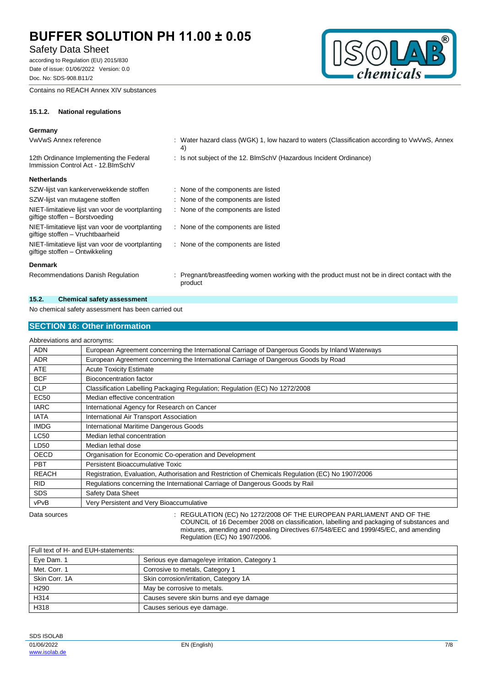### Safety Data Sheet

according to Regulation (EU) 2015/830 Date of issue: 01/06/2022 Version: 0.0 Doc. No: SDS-908.B11/2

Contains no REACH Annex XIV substances



### **15.1.2. National regulations**

### **Germany**

| VwVwS Annex reference                                                                | : Water hazard class (WGK) 1, low hazard to waters (Classification according to VwVwS, Annex<br>4)        |
|--------------------------------------------------------------------------------------|-----------------------------------------------------------------------------------------------------------|
| 12th Ordinance Implementing the Federal<br>Immission Control Act - 12. BlmSchV       | : Is not subject of the 12. BlmSchV (Hazardous Incident Ordinance)                                        |
| <b>Netherlands</b>                                                                   |                                                                                                           |
| SZW-lijst van kankerverwekkende stoffen                                              | : None of the components are listed                                                                       |
| SZW-lijst van mutagene stoffen                                                       | : None of the components are listed                                                                       |
| NIET-limitatieve lijst van voor de voortplanting<br>giftige stoffen - Borstvoeding   | : None of the components are listed                                                                       |
| NIET-limitatieve lijst van voor de voortplanting<br>giftige stoffen - Vruchtbaarheid | : None of the components are listed                                                                       |
| NIET-limitatieve lijst van voor de voortplanting<br>giftige stoffen - Ontwikkeling   | : None of the components are listed                                                                       |
| <b>Denmark</b>                                                                       |                                                                                                           |
| Recommendations Danish Regulation                                                    | : Pregnant/breastfeeding women working with the product must not be in direct contact with the<br>product |

#### **15.2. Chemical safety assessment**

No chemical safety assessment has been carried out

#### **SECTION 16: Other information**

#### Abbreviations and acronyms: ADN European Agreement concerning the International Carriage of Dangerous Goods by Inland Waterways ADR European Agreement concerning the International Carriage of Dangerous Goods by Road ATE Acute Toxicity Estimate BCF Bioconcentration factor CLP Classification Labelling Packaging Regulation; Regulation (EC) No 1272/2008 EC50 Median effective concentration IARC International Agency for Research on Cancer IATA International Air Transport Association IMDG International Maritime Dangerous Goods LC50 Median lethal concentration LD50 | Median lethal dose OECD Organisation for Economic Co-operation and Development PBT Persistent Bioaccumulative Toxic REACH Registration, Evaluation, Authorisation and Restriction of Chemicals Regulation (EC) No 1907/2006 RID Regulations concerning the International Carriage of Dangerous Goods by Rail SDS | Safety Data Sheet vPvB Very Persistent and Very Bioaccumulative Data sources **Superint Studies : REGULATION (EC) No 1272/2008 OF THE EUROPEAN PARLIAMENT AND OF THE** COUNCIL of 16 December 2008 on classification, labelling and packaging of substances and mixtures, amending and repealing Directives 67/548/EEC and 1999/45/EC, and amending Regulation (EC) No 1907/2006.

Full text of H- and EUH-statements: Eye Dam. 1 Serious eye damage/eye irritation, Category 1 Met. Corr. 1 Corrosive to metals, Category 1 Skin Corr. 1A Skin corrosion/irritation, Category 1A H290 May be corrosive to metals H314 **Causes severe skin burns and eye damage** H318 Causes serious eye damage.